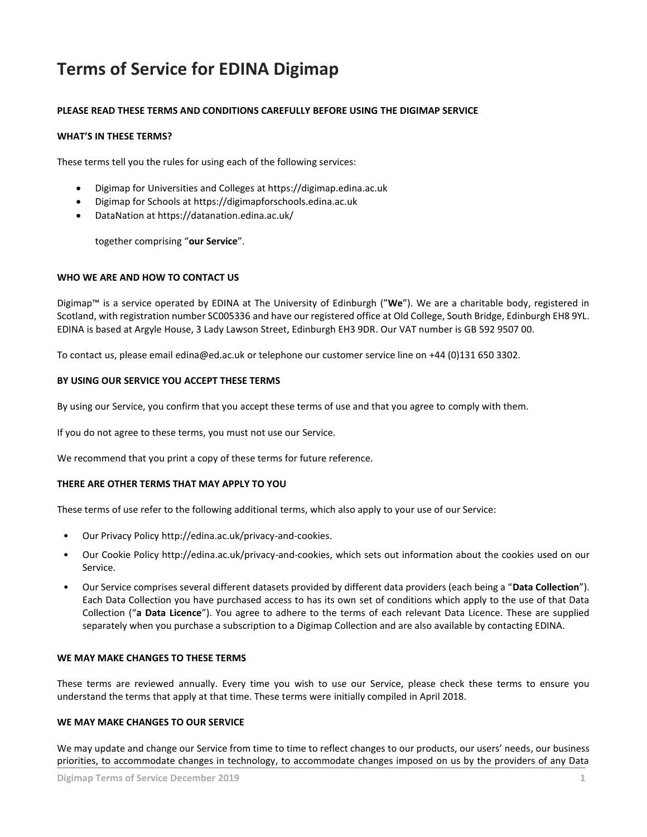# **Terms of Service for EDINA Digimap**

# **PLEASE READ THESE TERMS AND CONDITIONS CAREFULLY BEFORE USING THE DIGIMAP SERVICE**

## **WHAT'S IN THESE TERMS?**

These terms tell you the rules for using each of the following services:

- Digimap for Universities and Colleges at https://digimap.edina.ac.uk
- Digimap for Schools at https://digimapforschools.edina.ac.uk
- DataNation at https://datanation.edina.ac.uk/

together comprising "**our Service**".

## **WHO WE ARE AND HOW TO CONTACT US**

Digimap™ is a service operated by EDINA at The University of Edinburgh ("**We**"). We are a charitable body, registered in Scotland, with registration number SC005336 and have our registered office at Old College, South Bridge, Edinburgh EH8 9YL. EDINA is based at Argyle House, 3 Lady Lawson Street, Edinburgh EH3 9DR. Our VAT number is GB 592 9507 00.

To contact us, please email edina@ed.ac.uk or telephone our customer service line on +44 (0)131 650 3302.

## **BY USING OUR SERVICE YOU ACCEPT THESE TERMS**

By using our Service, you confirm that you accept these terms of use and that you agree to comply with them.

If you do not agree to these terms, you must not use our Service.

We recommend that you print a copy of these terms for future reference.

## **THERE ARE OTHER TERMS THAT MAY APPLY TO YOU**

These terms of use refer to the following additional terms, which also apply to your use of our Service:

- Our Privacy Policy http://edina.ac.uk/privacy-and-cookies.
- Our Cookie Policy http://edina.ac.uk/privacy-and-cookies, which sets out information about the cookies used on our Service.
- Our Service comprises several different datasets provided by different data providers (each being a "**Data Collection**"). Each Data Collection you have purchased access to has its own set of conditions which apply to the use of that Data Collection ("**a Data Licence**"). You agree to adhere to the terms of each relevant Data Licence. These are supplied separately when you purchase a subscription to a Digimap Collection and are also available by contacting EDINA.

## **WE MAY MAKE CHANGES TO THESE TERMS**

These terms are reviewed annually. Every time you wish to use our Service, please check these terms to ensure you understand the terms that apply at that time. These terms were initially compiled in April 2018.

## **WE MAY MAKE CHANGES TO OUR SERVICE**

We may update and change our Service from time to time to reflect changes to our products, our users' needs, our business priorities, to accommodate changes in technology, to accommodate changes imposed on us by the providers of any Data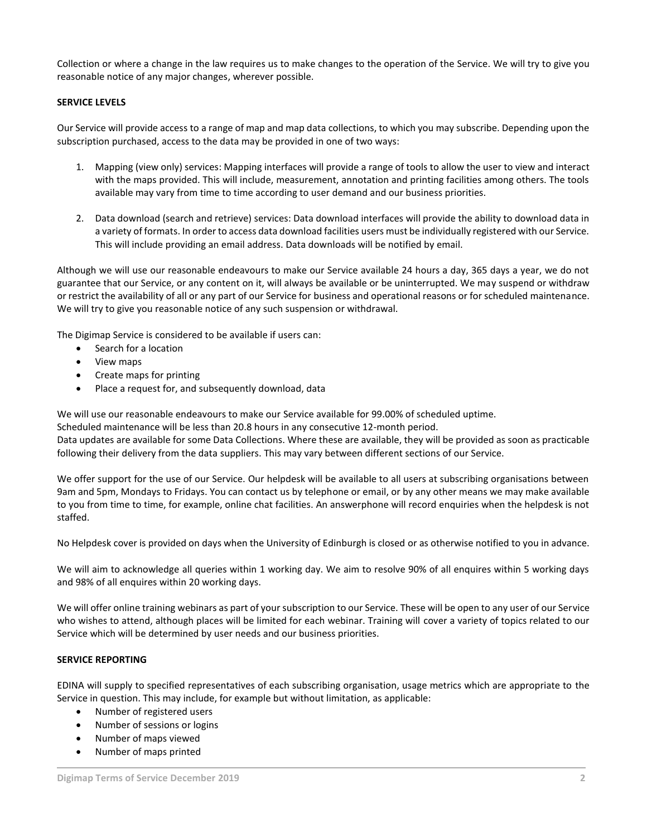Collection or where a change in the law requires us to make changes to the operation of the Service. We will try to give you reasonable notice of any major changes, wherever possible.

# **SERVICE LEVELS**

Our Service will provide access to a range of map and map data collections, to which you may subscribe. Depending upon the subscription purchased, access to the data may be provided in one of two ways:

- 1. Mapping (view only) services: Mapping interfaces will provide a range of tools to allow the user to view and interact with the maps provided. This will include, measurement, annotation and printing facilities among others. The tools available may vary from time to time according to user demand and our business priorities.
- 2. Data download (search and retrieve) services: Data download interfaces will provide the ability to download data in a variety of formats. In order to access data download facilities users must be individually registered with our Service. This will include providing an email address. Data downloads will be notified by email.

Although we will use our reasonable endeavours to make our Service available 24 hours a day, 365 days a year, we do not guarantee that our Service, or any content on it, will always be available or be uninterrupted. We may suspend or withdraw or restrict the availability of all or any part of our Service for business and operational reasons or for scheduled maintenance. We will try to give you reasonable notice of any such suspension or withdrawal.

The Digimap Service is considered to be available if users can:

- Search for a location
- View maps
- Create maps for printing
- Place a request for, and subsequently download, data

We will use our reasonable endeavours to make our Service available for 99.00% of scheduled uptime.

Scheduled maintenance will be less than 20.8 hours in any consecutive 12-month period.

Data updates are available for some Data Collections. Where these are available, they will be provided as soon as practicable following their delivery from the data suppliers. This may vary between different sections of our Service.

We offer support for the use of our Service. Our helpdesk will be available to all users at subscribing organisations between 9am and 5pm, Mondays to Fridays. You can contact us by telephone or email, or by any other means we may make available to you from time to time, for example, online chat facilities. An answerphone will record enquiries when the helpdesk is not staffed.

No Helpdesk cover is provided on days when the University of Edinburgh is closed or as otherwise notified to you in advance.

We will aim to acknowledge all queries within 1 working day. We aim to resolve 90% of all enquires within 5 working days and 98% of all enquires within 20 working days.

We will offer online training webinars as part of your subscription to our Service. These will be open to any user of our Service who wishes to attend, although places will be limited for each webinar. Training will cover a variety of topics related to our Service which will be determined by user needs and our business priorities.

# **SERVICE REPORTING**

EDINA will supply to specified representatives of each subscribing organisation, usage metrics which are appropriate to the Service in question. This may include, for example but without limitation, as applicable:

- Number of registered users
- Number of sessions or logins
- Number of maps viewed
- Number of maps printed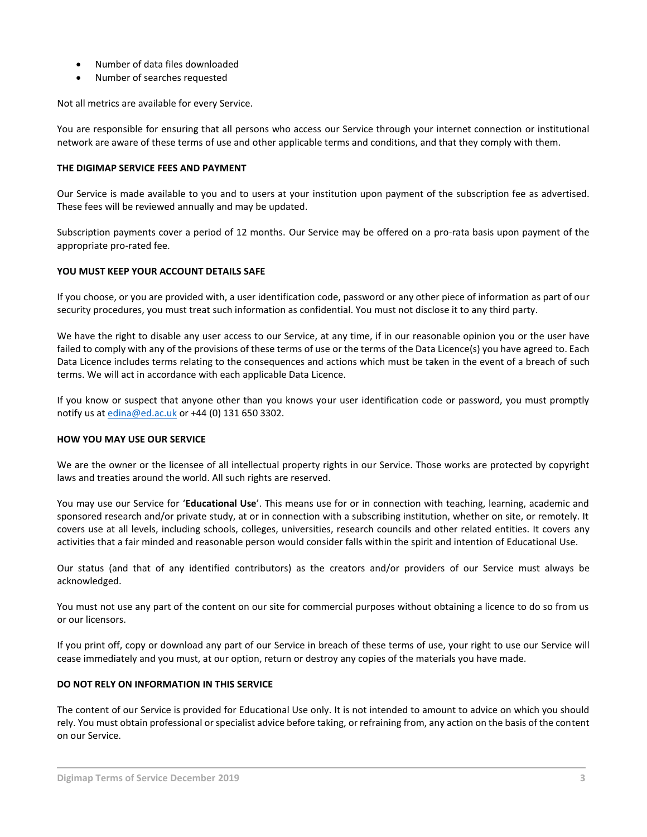- Number of data files downloaded
- Number of searches requested

Not all metrics are available for every Service.

You are responsible for ensuring that all persons who access our Service through your internet connection or institutional network are aware of these terms of use and other applicable terms and conditions, and that they comply with them.

#### **THE DIGIMAP SERVICE FEES AND PAYMENT**

Our Service is made available to you and to users at your institution upon payment of the subscription fee as advertised. These fees will be reviewed annually and may be updated.

Subscription payments cover a period of 12 months. Our Service may be offered on a pro-rata basis upon payment of the appropriate pro-rated fee.

## **YOU MUST KEEP YOUR ACCOUNT DETAILS SAFE**

If you choose, or you are provided with, a user identification code, password or any other piece of information as part of our security procedures, you must treat such information as confidential. You must not disclose it to any third party.

We have the right to disable any user access to our Service, at any time, if in our reasonable opinion you or the user have failed to comply with any of the provisions of these terms of use or the terms of the Data Licence(s) you have agreed to. Each Data Licence includes terms relating to the consequences and actions which must be taken in the event of a breach of such terms. We will act in accordance with each applicable Data Licence.

If you know or suspect that anyone other than you knows your user identification code or password, you must promptly notify us at **edina@ed.ac.uk** or +44 (0) 131 650 3302.

## **HOW YOU MAY USE OUR SERVICE**

We are the owner or the licensee of all intellectual property rights in our Service. Those works are protected by copyright laws and treaties around the world. All such rights are reserved.

You may use our Service for '**Educational Use**'. This means use for or in connection with teaching, learning, academic and sponsored research and/or private study, at or in connection with a subscribing institution, whether on site, or remotely. It covers use at all levels, including schools, colleges, universities, research councils and other related entities. It covers any activities that a fair minded and reasonable person would consider falls within the spirit and intention of Educational Use.

Our status (and that of any identified contributors) as the creators and/or providers of our Service must always be acknowledged.

You must not use any part of the content on our site for commercial purposes without obtaining a licence to do so from us or our licensors.

If you print off, copy or download any part of our Service in breach of these terms of use, your right to use our Service will cease immediately and you must, at our option, return or destroy any copies of the materials you have made.

## **DO NOT RELY ON INFORMATION IN THIS SERVICE**

The content of our Service is provided for Educational Use only. It is not intended to amount to advice on which you should rely. You must obtain professional or specialist advice before taking, or refraining from, any action on the basis of the content on our Service.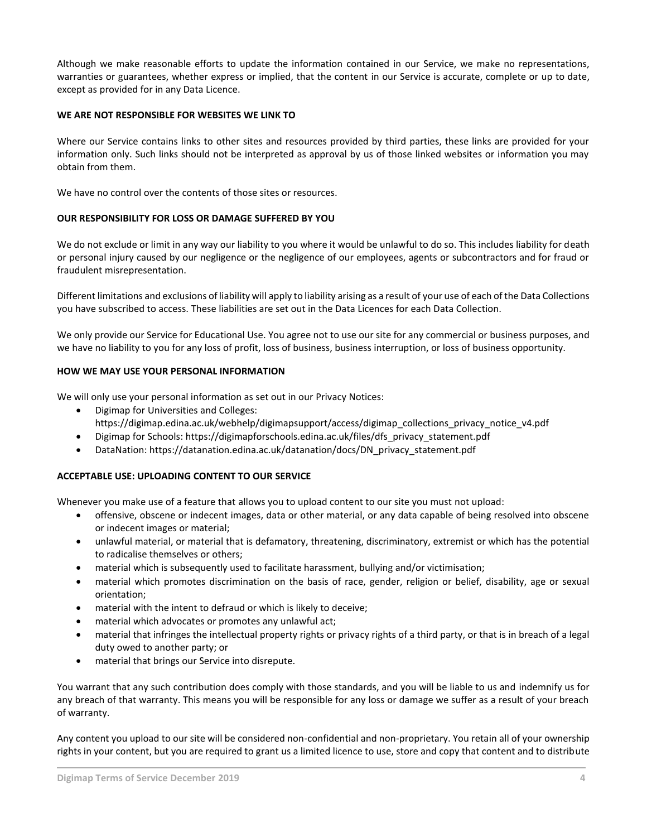Although we make reasonable efforts to update the information contained in our Service, we make no representations, warranties or guarantees, whether express or implied, that the content in our Service is accurate, complete or up to date, except as provided for in any Data Licence.

#### **WE ARE NOT RESPONSIBLE FOR WEBSITES WE LINK TO**

Where our Service contains links to other sites and resources provided by third parties, these links are provided for your information only. Such links should not be interpreted as approval by us of those linked websites or information you may obtain from them.

We have no control over the contents of those sites or resources.

#### **OUR RESPONSIBILITY FOR LOSS OR DAMAGE SUFFERED BY YOU**

We do not exclude or limit in any way our liability to you where it would be unlawful to do so. This includes liability for death or personal injury caused by our negligence or the negligence of our employees, agents or subcontractors and for fraud or fraudulent misrepresentation.

Different limitations and exclusions of liability will apply to liability arising as a result of your use of each of the Data Collections you have subscribed to access. These liabilities are set out in the Data Licences for each Data Collection.

We only provide our Service for Educational Use. You agree not to use our site for any commercial or business purposes, and we have no liability to you for any loss of profit, loss of business, business interruption, or loss of business opportunity.

## **HOW WE MAY USE YOUR PERSONAL INFORMATION**

We will only use your personal information as set out in our Privacy Notices:

- Digimap for Universities and Colleges: https://digimap.edina.ac.uk/webhelp/digimapsupport/access/digimap\_collections\_privacy\_notice\_v4.pdf
- Digimap for Schools: https://digimapforschools.edina.ac.uk/files/dfs\_privacy\_statement.pdf
- DataNation: https://datanation.edina.ac.uk/datanation/docs/DN\_privacy\_statement.pdf

## **ACCEPTABLE USE: UPLOADING CONTENT TO OUR SERVICE**

Whenever you make use of a feature that allows you to upload content to our site you must not upload:

- offensive, obscene or indecent images, data or other material, or any data capable of being resolved into obscene or indecent images or material;
- unlawful material, or material that is defamatory, threatening, discriminatory, extremist or which has the potential to radicalise themselves or others;
- material which is subsequently used to facilitate harassment, bullying and/or victimisation;
- material which promotes discrimination on the basis of race, gender, religion or belief, disability, age or sexual orientation;
- material with the intent to defraud or which is likely to deceive;
- material which advocates or promotes any unlawful act;
- material that infringes the intellectual property rights or privacy rights of a third party, or that is in breach of a legal duty owed to another party; or
- material that brings our Service into disrepute.

You warrant that any such contribution does comply with those standards, and you will be liable to us and indemnify us for any breach of that warranty. This means you will be responsible for any loss or damage we suffer as a result of your breach of warranty.

Any content you upload to our site will be considered non-confidential and non-proprietary. You retain all of your ownership rights in your content, but you are required to grant us a limited licence to use, store and copy that content and to distribute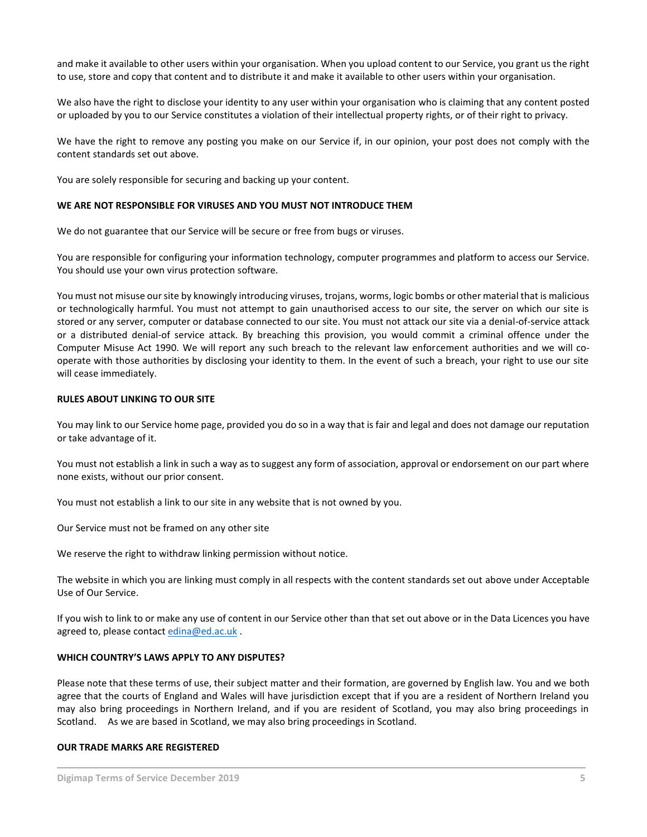and make it available to other users within your organisation. When you upload content to our Service, you grant us the right to use, store and copy that content and to distribute it and make it available to other users within your organisation.

We also have the right to disclose your identity to any user within your organisation who is claiming that any content posted or uploaded by you to our Service constitutes a violation of their intellectual property rights, or of their right to privacy.

We have the right to remove any posting you make on our Service if, in our opinion, your post does not comply with the content standards set out above.

You are solely responsible for securing and backing up your content.

#### **WE ARE NOT RESPONSIBLE FOR VIRUSES AND YOU MUST NOT INTRODUCE THEM**

We do not guarantee that our Service will be secure or free from bugs or viruses.

You are responsible for configuring your information technology, computer programmes and platform to access our Service. You should use your own virus protection software.

You must not misuse our site by knowingly introducing viruses, trojans, worms, logic bombs or other material that is malicious or technologically harmful. You must not attempt to gain unauthorised access to our site, the server on which our site is stored or any server, computer or database connected to our site. You must not attack our site via a denial-of-service attack or a distributed denial-of service attack. By breaching this provision, you would commit a criminal offence under the Computer Misuse Act 1990. We will report any such breach to the relevant law enforcement authorities and we will cooperate with those authorities by disclosing your identity to them. In the event of such a breach, your right to use our site will cease immediately.

#### **RULES ABOUT LINKING TO OUR SITE**

You may link to our Service home page, provided you do so in a way that is fair and legal and does not damage our reputation or take advantage of it.

You must not establish a link in such a way as to suggest any form of association, approval or endorsement on our part where none exists, without our prior consent.

You must not establish a link to our site in any website that is not owned by you.

Our Service must not be framed on any other site

We reserve the right to withdraw linking permission without notice.

The website in which you are linking must comply in all respects with the content standards set out above under Acceptable Use of Our Service.

If you wish to link to or make any use of content in our Service other than that set out above or in the Data Licences you have agreed to, please contact [edina@ed.ac.uk](mailto:edina@ed.ac.uk) .

#### **WHICH COUNTRY'S LAWS APPLY TO ANY DISPUTES?**

Please note that these terms of use, their subject matter and their formation, are governed by English law. You and we both agree that the courts of England and Wales will have jurisdiction except that if you are a resident of Northern Ireland you may also bring proceedings in Northern Ireland, and if you are resident of Scotland, you may also bring proceedings in Scotland. As we are based in Scotland, we may also bring proceedings in Scotland.

#### **OUR TRADE MARKS ARE REGISTERED**